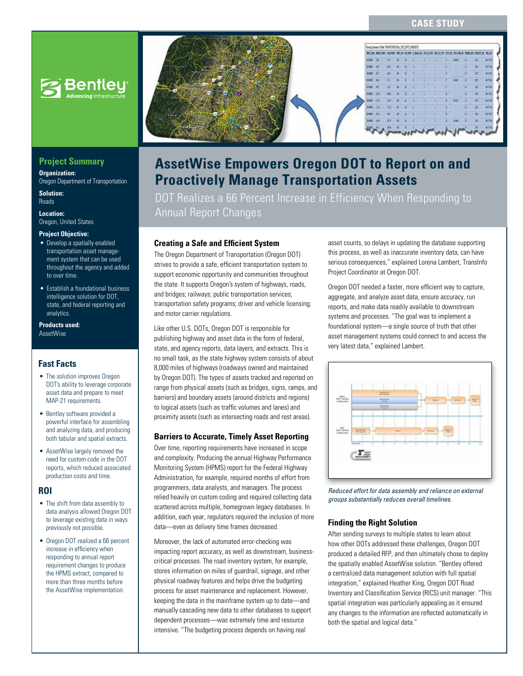# **CASE STUDY**



# **Project Summary**

**Organization:**  Oregon Department of Transportation

**Solution:**  Roads

**Location:**  Oregon, United States

#### **Project Objective:**

- Develop a spatially enabled transportation asset management system that can be used throughout the agency and added to over time.
- Establish a foundational business intelligence solution for DOT, state, and federal reporting and analytics.

**Products used:** AssetWise

# **Fast Facts**

- The solution improves Oregon DOT's ability to leverage corporate asset data and prepare to meet MAP-21 requirements.
- Bentley software provided a powerful interface for assembling and analyzing data, and producing both tabular and spatial extracts.
- AssetWise largely removed the need for custom code in the DOT reports, which reduced associated production costs and time.

## **ROI**

- The shift from data assembly to data analysis allowed Oregon DOT to leverage existing data in ways previously not possible.
- Oregon DOT realized a 66 percent increase in efficiency when responding to annual report requirement changes to produce the HPMS extract, compared to more than three months before the AssetWise implementation.



# **AssetWise Empowers Oregon DOT to Report on and Proactively Manage Transportation Assets**

DOT Realizes a 66 Percent Increase in Efficiency When Responding to Annual Report Changes

# **Creating a Safe and Efficient System**

The Oregon Department of Transportation (Oregon DOT) strives to provide a safe, efficient transportation system to support economic opportunity and communities throughout the state. It supports Oregon's system of highways, roads, and bridges; railways; public transportation services; transportation safety programs; driver and vehicle licensing; and motor carrier regulations.

Like other U.S. DOTs, Oregon DOT is responsible for publishing highway and asset data in the form of federal, state, and agency reports, data layers, and extracts. This is no small task, as the state highway system consists of about 8,000 miles of highways (roadways owned and maintained by Oregon DOT). The types of assets tracked and reported on range from physical assets (such as bridges, signs, ramps, and barriers) and boundary assets (around districts and regions) to logical assets (such as traffic volumes and lanes) and proximity assets (such as intersecting roads and rest areas).

## **Barriers to Accurate, Timely Asset Reporting**

Over time, reporting requirements have increased in scope and complexity. Producing the annual Highway Performance Monitoring System (HPMS) report for the Federal Highway Administration, for example, required months of effort from programmers, data analysts, and managers. The process relied heavily on custom coding and required collecting data scattered across multiple, homegrown legacy databases. In addition, each year, regulators required the inclusion of more data—even as delivery time frames decreased.

Moreover, the lack of automated error-checking was impacting report accuracy, as well as downstream, businesscritical processes. The road inventory system, for example, stores information on miles of guardrail, signage, and other physical roadway features and helps drive the budgeting process for asset maintenance and replacement. However, keeping the data in the mainframe system up to date—and manually cascading new data to other databases to support dependent processes—was extremely time and resource intensive. "The budgeting process depends on having real

asset counts, so delays in updating the database supporting this process, as well as inaccurate inventory data, can have serious consequences," explained Lorena Lambert, TransInfo Project Coordinator at Oregon DOT.

Oregon DOT needed a faster, more efficient way to capture, aggregate, and analyze asset data, ensure accuracy, run reports, and make data readily available to downstream systems and processes. "The goal was to implement a foundational system—a single source of truth that other asset management systems could connect to and access the very latest data," explained Lambert.



*Reduced effort for data assembly and reliance on external groups substantially reduces overall timelines.*

## **Finding the Right Solution**

After sending surveys to multiple states to learn about how other DOTs addressed these challenges, Oregon DOT produced a detailed RFP, and then ultimately chose to deploy the spatially enabled AssetWise solution. "Bentley offered a centralized data management solution with full spatial integration," explained Heather King, Oregon DOT Road Inventory and Classification Service (RICS) unit manager. "This spatial integration was particularly appealing as it ensured any changes to the information are reflected automatically in both the spatial and logical data."